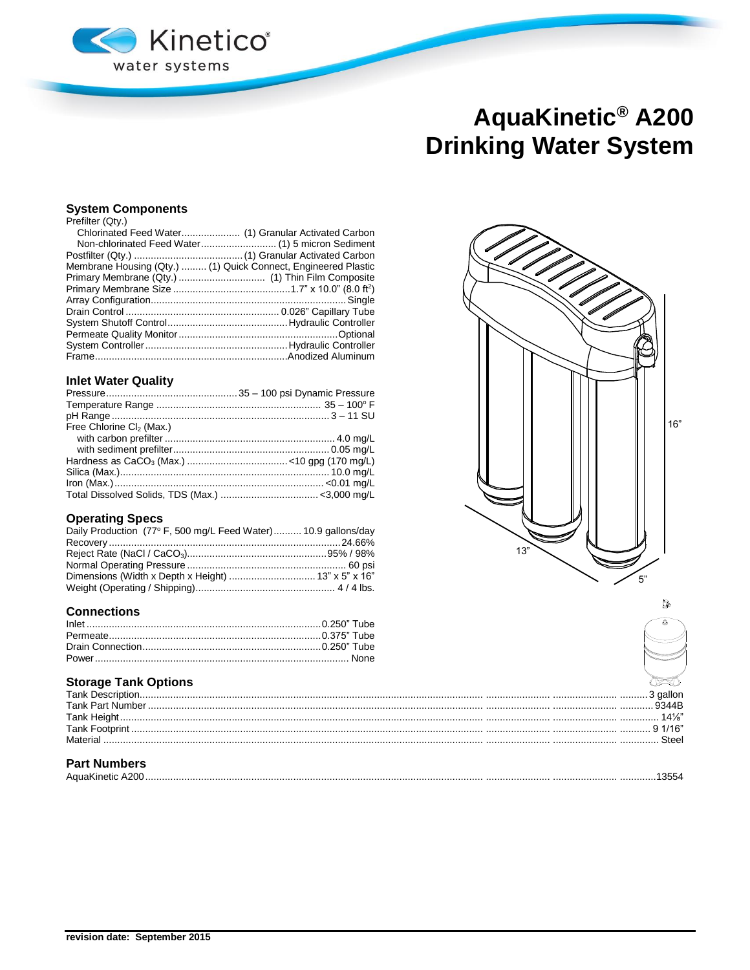

# AquaKinetic<sup>®</sup> A200 **Drinking Water System**

## **System Components**

| Prefilter (Qtv.) |  |
|------------------|--|
|                  |  |

| Membrane Housing (Qty.)  (1) Quick Connect, Engineered Plastic |
|----------------------------------------------------------------|
|                                                                |
|                                                                |
|                                                                |
|                                                                |
|                                                                |
|                                                                |
|                                                                |
|                                                                |
|                                                                |

## **Inlet Water Quality**

| Free Chlorine $Cl2$ (Max.) |  |
|----------------------------|--|
|                            |  |
|                            |  |
|                            |  |
|                            |  |
|                            |  |
|                            |  |

## **Operating Specs**

| Daily Production (77° F, 500 mg/L Feed Water) 10.9 gallons/day |  |
|----------------------------------------------------------------|--|
|                                                                |  |
|                                                                |  |
|                                                                |  |
|                                                                |  |
|                                                                |  |

## **Connections**

# **Storage Tank Options**

| <b>Tank Descr</b>       |  |
|-------------------------|--|
| <b>Tank Part Number</b> |  |
| Tank                    |  |
| <b>Tank Footp</b>       |  |
| Materia                 |  |
|                         |  |

# **Part Numbers**

| ີນນ |
|-----|
|-----|